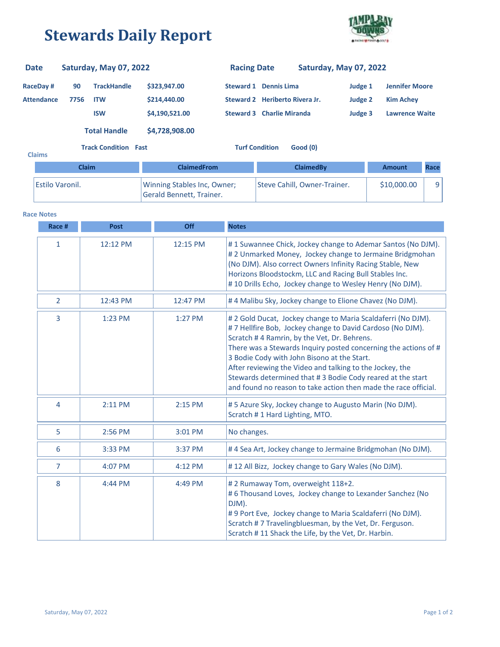## **Stewards Daily Report**



| <b>Date</b>       |                             | Saturday, May 07, 2022      |                                   | <b>Racing Date</b>               |                                | Saturday, May 07, 2022 |             |                       |      |
|-------------------|-----------------------------|-----------------------------|-----------------------------------|----------------------------------|--------------------------------|------------------------|-------------|-----------------------|------|
| <b>RaceDay#</b>   | 90                          | <b>TrackHandle</b>          | \$323,947.00                      |                                  | <b>Steward 1 Dennis Lima</b>   |                        | Judge 1     | <b>Jennifer Moore</b> |      |
| <b>Attendance</b> | 7756                        | <b>ITW</b>                  | \$214,440.00                      |                                  | Steward 2 Heriberto Rivera Jr. |                        | Judge 2     | <b>Kim Achey</b>      |      |
|                   |                             | <b>ISW</b>                  | \$4,190,521.00                    | <b>Steward 3 Charlie Miranda</b> |                                |                        | Judge 3     | <b>Lawrence Waite</b> |      |
|                   |                             | <b>Total Handle</b>         | \$4,728,908.00                    |                                  |                                |                        |             |                       |      |
| <b>Claims</b>     | <b>Track Condition Fast</b> |                             | <b>Turf Condition</b><br>Good (0) |                                  |                                |                        |             |                       |      |
|                   | <b>Claim</b>                |                             | <b>ClaimedFrom</b>                |                                  | <b>ClaimedBy</b>               |                        |             | Amount                | Race |
| Estilo Varonil.   |                             | Winning Stables Inc, Owner; |                                   | Steve Cahill, Owner-Trainer.     |                                |                        | \$10,000,00 | 9                     |      |

Gerald Bennett, Trainer.

## **Race Notes**

| Race #         | <b>Post</b> | Off      | <b>Notes</b>                                                                                                                                                                                                                                                                                                                                                                                                                                                                           |
|----------------|-------------|----------|----------------------------------------------------------------------------------------------------------------------------------------------------------------------------------------------------------------------------------------------------------------------------------------------------------------------------------------------------------------------------------------------------------------------------------------------------------------------------------------|
| 1              | 12:12 PM    | 12:15 PM | #1 Suwannee Chick, Jockey change to Ademar Santos (No DJM).<br>#2 Unmarked Money, Jockey change to Jermaine Bridgmohan<br>(No DJM). Also correct Owners Infinity Racing Stable, New<br>Horizons Bloodstockm, LLC and Racing Bull Stables Inc.<br>#10 Drills Echo, Jockey change to Wesley Henry (No DJM).                                                                                                                                                                              |
| $\overline{2}$ | 12:43 PM    | 12:47 PM | #4 Malibu Sky, Jockey change to Elione Chavez (No DJM).                                                                                                                                                                                                                                                                                                                                                                                                                                |
| $\overline{3}$ | 1:23 PM     | 1:27 PM  | #2 Gold Ducat, Jockey change to Maria Scaldaferri (No DJM).<br>#7 Hellfire Bob, Jockey change to David Cardoso (No DJM).<br>Scratch #4 Ramrin, by the Vet, Dr. Behrens.<br>There was a Stewards Inquiry posted concerning the actions of #<br>3 Bodie Cody with John Bisono at the Start.<br>After reviewing the Video and talking to the Jockey, the<br>Stewards determined that #3 Bodie Cody reared at the start<br>and found no reason to take action then made the race official. |
| 4              | 2:11 PM     | 2:15 PM  | #5 Azure Sky, Jockey change to Augusto Marin (No DJM).<br>Scratch #1 Hard Lighting, MTO.                                                                                                                                                                                                                                                                                                                                                                                               |
| 5              | 2:56 PM     | 3:01 PM  | No changes.                                                                                                                                                                                                                                                                                                                                                                                                                                                                            |
| 6              | 3:33 PM     | 3:37 PM  | #4 Sea Art, Jockey change to Jermaine Bridgmohan (No DJM).                                                                                                                                                                                                                                                                                                                                                                                                                             |
| $\overline{7}$ | 4:07 PM     | 4:12 PM  | #12 All Bizz, Jockey change to Gary Wales (No DJM).                                                                                                                                                                                                                                                                                                                                                                                                                                    |
| 8              | 4:44 PM     | 4:49 PM  | #2 Rumaway Tom, overweight 118+2.<br>#6 Thousand Loves, Jockey change to Lexander Sanchez (No<br>DJM).<br>#9 Port Eve, Jockey change to Maria Scaldaferri (No DJM).<br>Scratch #7 Travelingbluesman, by the Vet, Dr. Ferguson.<br>Scratch #11 Shack the Life, by the Vet, Dr. Harbin.                                                                                                                                                                                                  |